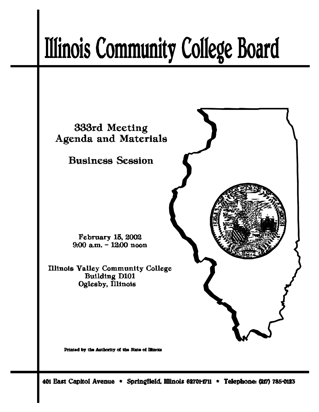# **Illinois Community College Board**



Printed by the Authority of the State of Illinois

401 East Capitol Avenue \* Springfield, Illinois 62701-1711 \* Telephone: (217) 785-0123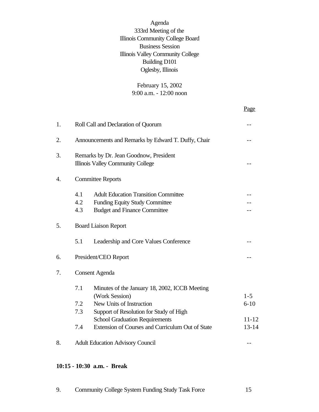Agenda 333rd Meeting of the Illinois Community College Board Business Session Illinois Valley Community College Building D101 Oglesby, Illinois

> February 15, 2002 9:00 a.m. - 12:00 noon

> > Page

| 1. |                          | Roll Call and Declaration of Quorum                                                                                         |           |  |  |  |  |
|----|--------------------------|-----------------------------------------------------------------------------------------------------------------------------|-----------|--|--|--|--|
| 2. |                          | Announcements and Remarks by Edward T. Duffy, Chair                                                                         |           |  |  |  |  |
| 3. |                          | Remarks by Dr. Jean Goodnow, President<br><b>Illinois Valley Community College</b>                                          |           |  |  |  |  |
| 4. | <b>Committee Reports</b> |                                                                                                                             |           |  |  |  |  |
|    | 4.1<br>4.2<br>4.3        | <b>Adult Education Transition Committee</b><br><b>Funding Equity Study Committee</b><br><b>Budget and Finance Committee</b> |           |  |  |  |  |
| 5. |                          | <b>Board Liaison Report</b>                                                                                                 |           |  |  |  |  |
|    | 5.1                      | Leadership and Core Values Conference                                                                                       |           |  |  |  |  |
| 6. |                          | President/CEO Report                                                                                                        |           |  |  |  |  |
| 7. |                          | <b>Consent Agenda</b>                                                                                                       |           |  |  |  |  |
|    | 7.1                      | Minutes of the January 18, 2002, ICCB Meeting<br>(Work Session)                                                             | $1 - 5$   |  |  |  |  |
|    | 7.2                      | New Units of Instruction                                                                                                    | $6 - 10$  |  |  |  |  |
|    | 7.3                      | Support of Resolution for Study of High                                                                                     |           |  |  |  |  |
|    |                          | <b>School Graduation Requirements</b>                                                                                       | $11 - 12$ |  |  |  |  |
|    | 7.4                      | Extension of Courses and Curriculum Out of State                                                                            | $13 - 14$ |  |  |  |  |
| 8. |                          | <b>Adult Education Advisory Council</b>                                                                                     |           |  |  |  |  |

#### **10:15 - 10:30 a.m. - Break**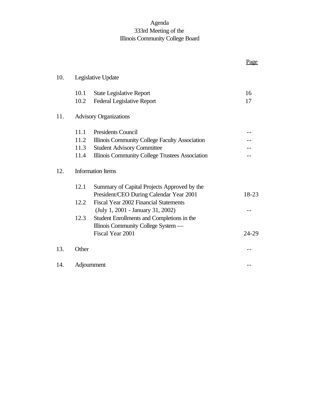# Agenda 333rd Meeting of the Illinois Community College Board

|     |                          |                                                                                        | <u>Page</u> |  |
|-----|--------------------------|----------------------------------------------------------------------------------------|-------------|--|
| 10. |                          | Legislative Update                                                                     |             |  |
|     | 10.1                     | <b>State Legislative Report</b>                                                        | 16          |  |
|     | 10.2                     | <b>Federal Legislative Report</b>                                                      | 17          |  |
| 11. |                          | <b>Advisory Organizations</b>                                                          |             |  |
|     | 11.1                     | <b>Presidents Council</b>                                                              |             |  |
|     | 11.2                     | Illinois Community College Faculty Association                                         |             |  |
|     | 11.3                     | <b>Student Advisory Committee</b>                                                      |             |  |
|     | 11.4                     | Illinois Community College Trustees Association                                        |             |  |
| 12. | <b>Information Items</b> |                                                                                        |             |  |
|     | 12.1                     | Summary of Capital Projects Approved by the<br>President/CEO During Calendar Year 2001 | 18-23       |  |
|     | 12.2                     | Fiscal Year 2002 Financial Statements                                                  |             |  |
|     |                          | (July 1, 2001 - January 31, 2002)                                                      |             |  |
|     | 12.3                     | Student Enrollments and Completions in the                                             |             |  |
|     |                          | Illinois Community College System —                                                    |             |  |
|     |                          | Fiscal Year 2001                                                                       | 24-29       |  |
| 13. | Other                    |                                                                                        |             |  |
| 14. |                          | Adjournment                                                                            |             |  |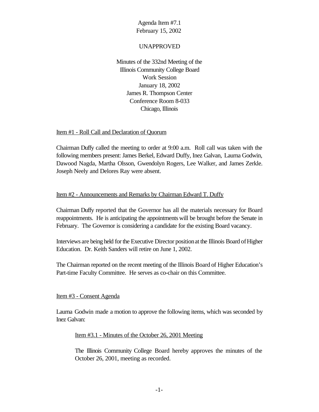#### UNAPPROVED

Minutes of the 332nd Meeting of the Illinois Community College Board Work Session January 18, 2002 James R. Thompson Center Conference Room 8-033 Chicago, Illinois

#### Item #1 - Roll Call and Declaration of Quorum

Chairman Duffy called the meeting to order at 9:00 a.m. Roll call was taken with the following members present: James Berkel, Edward Duffy, Inez Galvan, Laurna Godwin, Dawood Nagda, Martha Olsson, Gwendolyn Rogers, Lee Walker, and James Zerkle. Joseph Neely and Delores Ray were absent.

#### Item #2 - Announcements and Remarks by Chairman Edward T. Duffy

Chairman Duffy reported that the Governor has all the materials necessary for Board reappointments. He is anticipating the appointments will be brought before the Senate in February. The Governor is considering a candidate for the existing Board vacancy.

Interviews are being held forthe Executive Director positionat the Illinois Board ofHigher Education. Dr. Keith Sanders will retire on June 1, 2002.

The Chairman reported on the recent meeting of the Illinois Board of Higher Education's Part-time Faculty Committee. He serves as co-chair on this Committee.

#### Item #3 - Consent Agenda

Laurna Godwin made a motion to approve the following items, which was seconded by Inez Galvan:

#### Item #3.1 - Minutes of the October 26, 2001 Meeting

The Illinois Community College Board hereby approves the minutes of the October 26, 2001, meeting as recorded.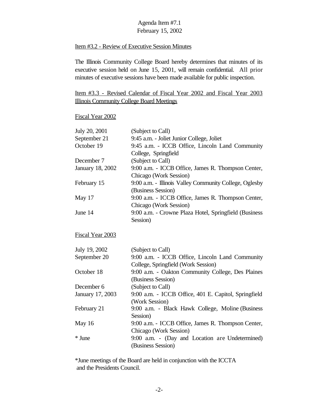#### Item #3.2 - Review of Executive Session Minutes

The Illinois Community College Board hereby determines that minutes of its executive session held on June 15, 2001, will remain confidential. All prior minutes of executive sessions have been made available for public inspection.

## Item #3.3 - Revised Calendar of Fiscal Year 2002 and Fiscal Year 2003 Illinois Community College Board Meetings

#### Fiscal Year 2002

| July 20, 2001           | (Subject to Call)                                      |
|-------------------------|--------------------------------------------------------|
| September 21            | 9:45 a.m. - Joliet Junior College, Joliet              |
| October 19              | 9:45 a.m. - ICCB Office, Lincoln Land Community        |
|                         | College, Springfield                                   |
| December 7              | (Subject to Call)                                      |
| <b>January 18, 2002</b> | 9:00 a.m. - ICCB Office, James R. Thompson Center,     |
|                         | Chicago (Work Session)                                 |
| February 15             | 9:00 a.m. - Illinois Valley Community College, Oglesby |
|                         | (Business Session)                                     |
| May 17                  | 9:00 a.m. - ICCB Office, James R. Thompson Center,     |
|                         | Chicago (Work Session)                                 |
| June 14                 | 9:00 a.m. - Crowne Plaza Hotel, Springfield (Business  |
|                         | Session)                                               |
| Fiscal Year 2003        |                                                        |
| July 19, 2002           | (Subject to Call)                                      |
| September 20            | 9:00 a.m. - ICCB Office, Lincoln Land Community        |
|                         | College, Springfield (Work Session)                    |
| October 18              | 9:00 a.m. - Oakton Community College, Des Plaines      |
|                         | (Business Session)                                     |
| December 6              | (Subject to Call)                                      |
| January 17, 2003        | 9:00 a.m. - ICCB Office, 401 E. Capitol, Springfield   |
|                         | (Work Session)                                         |
| February 21             | 9:00 a.m. - Black Hawk College, Moline (Business       |
|                         | Session)                                               |
| May 16                  | 9:00 a.m. - ICCB Office, James R. Thompson Center,     |
|                         | Chicago (Work Session)                                 |
| * June                  | 9:00 a.m. - (Day and Location are Undetermined)        |

\*June meetings of the Board are held in conjunction with the ICCTA and the Presidents Council.

(Business Session)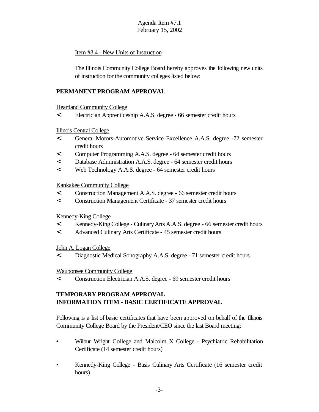#### Item #3.4 - New Units of Instruction

The Illinois Community College Board hereby approves the following new units of instruction for the community colleges listed below:

#### **PERMANENT PROGRAM APPROVAL**

#### Heartland Community College

< Electrician Apprenticeship A.A.S. degree - 66 semester credit hours

#### Illinois Central College

- < General Motors-Automotive Service Excellence A.A.S. degree -72 semester credit hours
- < Computer Programming A.A.S. degree 64 semester credit hours
- < Database Administration A.A.S. degree 64 semester credit hours
- < Web Technology A.A.S. degree 64 semester credit hours

#### Kankakee Community College

- < Construction Management A.A.S. degree 66 semester credit hours
- < Construction Management Certificate 37 semester credit hours

#### Kennedy-King College

- < Kennedy-KingCollege CulinaryArts A.A.S. degree 66 semester credit hours
- < Advanced Culinary Arts Certificate 45 semester credit hours

#### John A. Logan College

< Diagnostic Medical Sonography A.A.S. degree - 71 semester credit hours

#### Waubonsee Community College

< Construction Electrician A.A.S. degree - 69 semester credit hours

#### **TEMPORARY PROGRAM APPROVAL INFORMATION ITEM - BASIC CERTIFICATE APPROVAL**

Following is a list of basic certificates that have been approved on behalf of the Illinois Community College Board by the President/CEO since the last Board meeting:

- **•** Wilbur Wright College and Malcolm X College Psychiatric Rehabilitation Certificate (14 semester credit hours)
- Kennedy-King College Basis Culinary Arts Certificate (16 semester credit hours)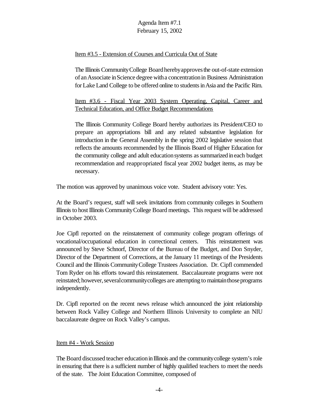#### Item #3.5 - Extension of Courses and Curricula Out of State

The Illinois CommunityCollege Boardherebyapprovesthe out-of-state extension of anAssociate inScience degree witha concentrationin Business Administration for Lake Land College to be offered online to students in Asia and the Pacific Rim.

Item #3.6 - Fiscal Year 2003 System Operating, Capital, Career and Technical Education, and Office Budget Recommendations

The Illinois Community College Board hereby authorizes its President/CEO to prepare an appropriations bill and any related substantive legislation for introduction in the General Assembly in the spring 2002 legislative session that reflects the amounts recommended by the Illinois Board of Higher Education for the community college and adult education systems as summarized in each budget recommendation and reappropriated fiscal year 2002 budget items, as may be necessary.

The motion was approved by unanimous voice vote. Student advisory vote: Yes.

At the Board's request, staff will seek invitations from community colleges in Southern Illinoisto hostIllinois CommunityCollege Board meetings. This request will be addressed in October 2003.

Joe Cipfl reported on the reinstatement of community college program offerings of vocational/occupational education in correctional centers. This reinstatement was announced by Steve Schnorf, Director of the Bureau of the Budget, and Don Snyder, Director of the Department of Corrections, at the January 11 meetings of the Presidents Council and the Illinois CommunityCollege Trustees Association. Dr. Cipfl commended Tom Ryder on his efforts toward this reinstatement. Baccalaureate programs were not reinstated; however, several community colleges are attempting to maintain those programs independently.

Dr. Cipfl reported on the recent news release which announced the joint relationship between Rock Valley College and Northern Illinois University to complete an NIU baccalaureate degree on Rock Valley's campus.

#### Item #4 - Work Session

The Board discussed teacher education in Illinois and the community college system's role in ensuring that there is a sufficient number of highly qualified teachers to meet the needs of the state. The Joint Education Committee, composed of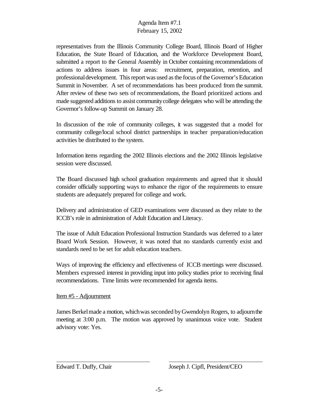representatives from the Illinois Community College Board, Illinois Board of Higher Education, the State Board of Education, and the Workforce Development Board, submitted a report to the General Assembly in October containing recommendations of actions to address issues in four areas: recruitment, preparation, retention, and professionaldevelopment. This report was used as the focus of the Governor's Education Summit in November. A set of recommendations has been produced from the summit. After review of these two sets of recommendations, the Board prioritized actions and made suggested additions to assist communitycollege delegates who will be attending the Governor's follow-up Summit on January 28.

In discussion of the role of community colleges, it was suggested that a model for community college/local school district partnerships in teacher preparation/education activities be distributed to the system.

Information items regarding the 2002 Illinois elections and the 2002 Illinois legislative session were discussed.

The Board discussed high school graduation requirements and agreed that it should consider officially supporting ways to enhance the rigor of the requirements to ensure students are adequately prepared for college and work.

Delivery and administration of GED examinations were discussed as they relate to the ICCB's role in administration of Adult Education and Literacy.

The issue of Adult Education Professional Instruction Standards was deferred to a later Board Work Session. However, it was noted that no standards currently exist and standards need to be set for adult education teachers.

Ways of improving the efficiency and effectiveness of ICCB meetings were discussed. Members expressed interest in providing input into policy studies prior to receiving final recommendations. Time limits were recommended for agenda items.

#### Item #5 - Adjournment

James Berkel made a motion, which was seconded by Gwendolyn Rogers, to adjourn the meeting at 3:00 p.m. The motion was approved by unanimous voice vote. Student advisory vote: Yes.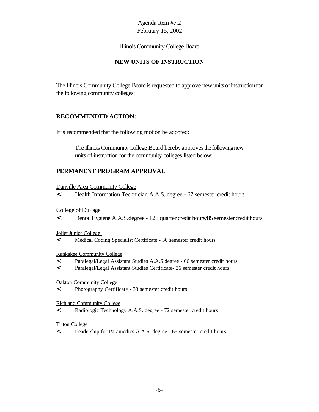Illinois Community College Board

#### **NEW UNITS OF INSTRUCTION**

The Illinois Community College Board is requested to approve new units of instruction for the following community colleges:

#### **RECOMMENDED ACTION:**

It is recommended that the following motion be adopted:

The Illinois Community College Board hereby approves the following new units of instruction for the community colleges listed below:

#### **PERMANENT PROGRAM APPROVAL**

Danville Area Community College

< Health Information Technician A.A.S. degree - 67 semester credit hours

College of DuPage

< DentalHygiene A.A.S.degree - 128 quarter credit hours/85 semestercredit hours

Joliet Junior College

< Medical Coding Specialist Certificate - 30 semester credit hours

#### Kankakee Community College

- < Paralegal/Legal Assistant Studies A.A.S.degree 66 semester credit hours
- < Paralegal/Legal Assistant Studies Certificate- 36 semester credit hours

#### Oakton Community College

< Photography Certificate - 33 semester credit hours

Richland Community College

< Radiologic Technology A.A.S. degree - 72 semester credit hours

#### Triton College

< Leadership for Paramedics A.A.S. degree - 65 semester credit hours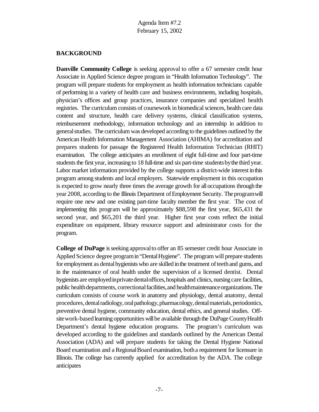#### **BACKGROUND**

**Danville Community College** is seeking approval to offer a 67 semester credit hour Associate in Applied Science degree program in "Health Information Technology". The program will prepare students for employment as health information technicians capable of performing in a variety of health care and business environments, including hospitals, physician's offices and group practices, insurance companies and specialized health registries. The curriculum consists of coursework in biomedical sciences, health care data content and structure, health care delivery systems, clinical classification systems, reimbursement methodology, information technology and an internship in addition to general studies. The curriculum was developed according to the guidelines outlined by the American Health Information Management Association (AHIMA) for accreditation and prepares students for passage the Registered Health Information Technician (RHIT) examination. The college anticipates an enrollment of eight full-time and four part-time students the first year, increasing to 18 full-time and six part-time students by the third year. Labor market information provided by the college supports a district-wide interest inthis program among students and local employers. Statewide employment in this occupation is expected to grow nearly three times the average growth for alloccupations through the year 2008, according to the Illinois Department of Employment Security. The program will require one new and one existing part-time faculty member the first year. The cost of implementing this program will be approximately \$88,598 the first year, \$65,431 the second year, and \$65,201 the third year. Higher first year costs reflect the initial expenditure on equipment, library resource support and administrator costs for the program.

**College of DuPage** is seeking approval to offer an 85 semester credit hour Associate in Applied Science degree programin"DentalHygiene". The program will prepare students for employment as dental hygienists who are skilled in the treatment of teeth and gums, and in the maintenance of oral health under the supervision of a licensed dentist. Dental hygienists are employed in private dental offices, hospitals and clinics, nursing care facilities, public health departments, correctional facilities, and health maintenance organizations. The curriculum consists of course work in anatomy and physiology, dental anatomy, dental procedures, dental radiology, oral pathology, pharmacology, dental materials, periodontics, preventive dental hygiene, community education, dental ethics, and general studies. Offsite work-based learning opportunities will be available through the DuPage County Health Department's dental hygiene education programs. The program's curriculum was developed according to the guidelines and standards outlined by the American Dental Association (ADA) and will prepare students for taking the Dental Hygiene National Board examination and a RegionalBoard examination, botha requirement for licensure in Illinois. The college has currently applied for accreditation by the ADA. The college anticipates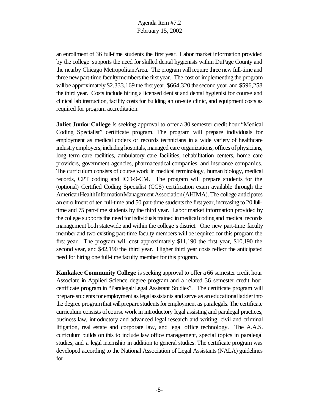an enrollment of 36 full-time students the first year. Labor market information provided by the college supports the need for skilled dental hygienists within DuPage County and the nearby Chicago MetropolitanArea. The program will require three new full-time and three new part-time faculty members the first year. The cost of implementing the program will be approximately  $$2,333,169$  the first year,  $$664,320$  the second year, and  $$596,258$ the third year. Costs include hiring a licensed dentist and dental hygienist for course and clinical lab instruction, facility costs for building an on-site clinic, and equipment costs as required for program accreditation.

**Joliet Junior College** is seeking approval to offer a 30 semester credit hour "Medical Coding Specialist" certificate program. The program will prepare individuals for employment as medical coders or records technicians in a wide variety of healthcare industry employers, including hospitals, managed care organizations, offices of physicians, long term care facilities, ambulatory care facilities, rehabilitation centers, home care providers, government agencies, pharmaceutical companies, and insurance companies. The curriculum consists of course work in medical terminology, human biology, medical records, CPT coding and ICD-9-CM. The program will prepare students for the (optional) Certified Coding Specialist (CCS) certification exam available through the AmericanHealthInformationManagement Association(AHIMA). The college anticipates an enrollment of ten full-time and 50 part-time students the first year, increasing to 20 fulltime and 75 part-time students by the third year. Labor market information provided by the college supports the need for individuals trained in medical coding and medical records management both statewide and within the college's district. One new part-time faculty member and two existing part-time faculty members will be required for this program the first year. The program will cost approximately \$11,190 the first year, \$10,190 the second year, and \$42,190 the third year. Higher third year costs reflect the anticipated need for hiring one full-time faculty member for this program.

**Kankakee Community College** is seeking approval to offer a 66 semester credit hour Associate in Applied Science degree program and a related 36 semester credit hour certificate program in "Paralegal/Legal Assistant Studies". The certificate program will prepare studentsfor employment aslegalassistants and serve as aneducationalladderinto the degree programthat willprepare studentsforemployment as paralegals. The certificate curriculum consists of course work in introductory legal assisting and paralegal practices, business law, introductory and advanced legal research and writing, civil and criminal litigation, real estate and corporate law, and legal office technology. The A.A.S. curriculum builds on this to include law office management, special topics in paralegal studies, and a legal internship in addition to general studies. The certificate program was developed according to the National Association of Legal Assistants(NALA) guidelines for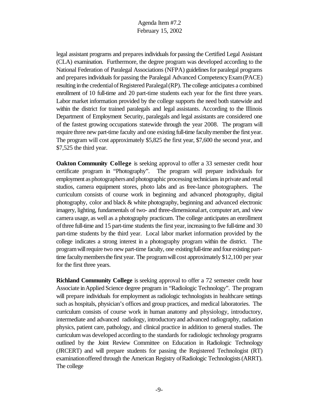legal assistant programs and prepares individuals for passing the Certified Legal Assistant (CLA) examination. Furthermore, the degree program was developed according to the National Federation of Paralegal Associations (NFPA) guidelines for paralegal programs and prepares individuals for passing the Paralegal Advanced Competency Exam (PACE) resulting in the credential of Registered Paralegal (RP). The college anticipates a combined enrollment of 10 full-time and 20 part-time students each year for the first three years. Labor market information provided by the college supports the need both statewide and within the district for trained paralegals and legal assistants. According to the Illinois Department of Employment Security, paralegals and legal assistants are considered one of the fastest growing occupations statewide through the year 2008. The program will require three new part-time faculty and one existing full-time faculty member the first year. The program will cost approximately \$5,825 the first year, \$7,600 the second year, and \$7,525 the third year.

**Oakton Community College** is seeking approval to offer a 33 semester credit hour certificate program in "Photography". The program will prepare individuals for employment as photographers and photographic processing technicians in private and retail studios, camera equipment stores, photo labs and as free-lance photographers. The curriculum consists of course work in beginning and advanced photography, digital photography, color and black & white photography, beginning and advanced electronic imagery, lighting, fundamentals of two- and three-dimensionalart, computer art, and view camera usage, as well as a photography practicum. The college anticipates an enrollment ofthree full-time and 15 part-time students the first year, increasing to five full-time and 30 part-time students by the third year. Local labor market information provided by the college indicates a strong interest in a photography program within the district. The program will require two new part-time faculty, one existing full-time and four existing parttime faculty members the first year. The program will cost approximately \$12,100 per year for the first three years.

**Richland Community College** is seeking approval to offer a 72 semester credit hour Associate inApplied Science degree program in "Radiologic Technology". The program will prepare individuals for employment as radiologic technologists in healthcare settings such as hospitals, physician's offices and group practices, and medical laboratories. The curriculum consists of course work in human anatomy and physiology, introductory, intermediate and advanced radiology, introductoryand advanced radiography, radiation physics, patient care, pathology, and clinical practice in addition to general studies. The curriculumwas developed according to the standards for radiologic technology programs outlined by the Joint Review Committee on Education in Radiologic Technology (JRCERT) and will prepare students for passing the Registered Technologist (RT) examination offered through the American Registry of Radiologic Technologists (ARRT). The college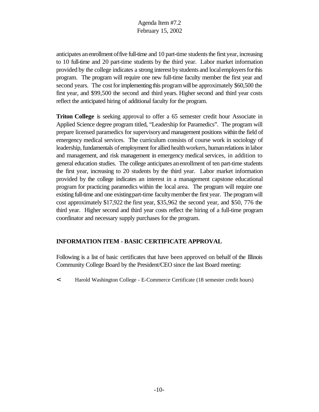anticipates an enrollment of five full-time and 10 part-time students the first year, increasing to 10 full-time and 20 part-time students by the third year. Labor market information provided by the college indicates a strong interest bystudents and localemployersforthis program. The program will require one new full-time faculty member the first year and second years. The cost for implementing this program will be approximately \$60,500 the first year, and \$99,500 the second and third years. Higher second and third year costs reflect the anticipated hiring of additional faculty for the program.

**Triton College** is seeking approval to offer a 65 semester credit hour Associate in Applied Science degree program titled, "Leadership for Paramedics". The program will prepare licensed paramedics for supervisoryand management positions within the field of emergency medical services. The curriculum consists of course work in sociology of leadership, fundamentals of employment for allied health workers, human relations in labor and management, and risk management in emergency medical services, in addition to general education studies. The college anticipates anenrollment of ten part-time students the first year, increasing to 20 students by the third year. Labor market information provided by the college indicates an interest in a management capstone educational program for practicing paramedics within the local area. The program will require one existing full-time and one existing part-time faculty member the first year. The program will cost approximately \$17,922 the first year, \$35,962 the second year, and \$50, 776 the third year. Higher second and third year costs reflect the hiring of a full-time program coordinator and necessary supply purchases for the program.

#### **INFORMATION ITEM - BASIC CERTIFICATE APPROVAL**

Following is a list of basic certificates that have been approved on behalf of the Illinois Community College Board by the President/CEO since the last Board meeting:

< Harold Washington College - E-Commerce Certificate (18 semester credit hours)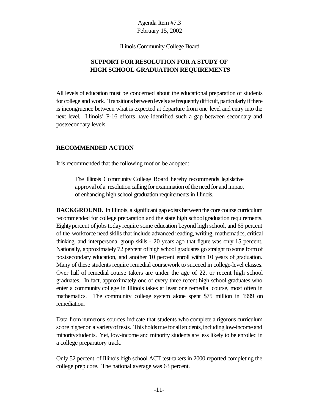Illinois Community College Board

# **SUPPORT FOR RESOLUTION FOR A STUDY OF HIGH SCHOOL GRADUATION REQUIREMENTS**

All levels of education must be concerned about the educational preparation of students for college and work. Transitions between levels are frequently difficult, particularly if there is incongruence between what is expected at departure from one level and entry into the next level. Illinois' P-16 efforts have identified such a gap between secondary and postsecondary levels.

#### **RECOMMENDED ACTION**

It is recommended that the following motion be adopted:

The Illinois Community College Board hereby recommends legislative approvalof a resolution calling for examination of the need for and impact of enhancing high school graduation requirements in Illinois.

**BACKGROUND.** In Illinois, a significant gap exists between the core course curriculum recommended for college preparation and the state high schoolgraduation requirements. Eighty percent of jobs today require some education beyond high school, and 65 percent of the workforce need skills that include advanced reading, writing, mathematics, critical thinking, and interpersonal group skills - 20 years ago that figure was only 15 percent. Nationally, approximately 72 percent ofhigh school graduates go straight to some formof postsecondary education, and another 10 percent enroll within 10 years of graduation. Many of these students require remedial coursework to succeed in college-level classes. Over half of remedial course takers are under the age of 22, or recent high school graduates. In fact, approximately one of every three recent high school graduates who enter a community college in Illinois takes at least one remedial course, most often in mathematics. The community college system alone spent \$75 million in 1999 on remediation.

Data from numerous sources indicate that students who complete a rigorous curriculum score higher ona varietyoftests. This holds true for all students, including low-income and minoritystudents. Yet, low-income and minority students are less likely to be enrolled in a college preparatory track.

Only 52 percent of Illinois high school ACT test-takers in 2000 reported completing the college prep core. The national average was 63 percent.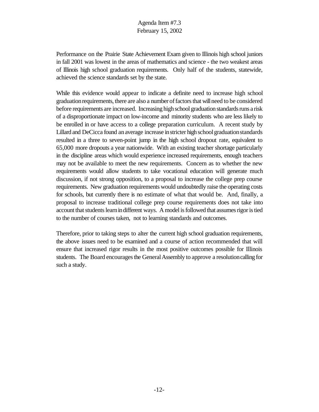Performance on the Prairie State Achievement Exam given to Illinois high school juniors in fall 2001 was lowest in the areas of mathematics and science - the two weakest areas of Illinois high school graduation requirements. Only half of the students, statewide, achieved the science standards set by the state.

While this evidence would appear to indicate a definite need to increase high school graduation requirements, there are also a number of factors that will need to be considered before requirements are increased. Increasing high school graduation standards runs a risk of a disproportionate impact on low-income and minority students who are less likely to be enrolled in or have access to a college preparation curriculum. A recent study by Lillard and DeCicca found an average increase in stricter high school graduation standards resulted in a three to seven-point jump in the high school dropout rate, equivalent to 65,000 more dropouts a year nationwide. With an existing teacher shortage particularly in the discipline areas which would experience increased requirements, enough teachers may not be available to meet the new requirements. Concern as to whether the new requirements would allow students to take vocational education will generate much discussion, if not strong opposition, to a proposal to increase the college prep course requirements. New graduation requirements would undoubtedly raise the operating costs for schools, but currently there is no estimate of what that would be. And, finally, a proposal to increase traditional college prep course requirements does not take into account that students learn in different ways. A model is followed that assumes rigor is tied to the number of courses taken, not to learning standards and outcomes.

Therefore, prior to taking steps to alter the current high school graduation requirements, the above issues need to be examined and a course of action recommended that will ensure that increased rigor results in the most positive outcomes possible for Illinois students. The Board encourages the General Assembly to approve a resolution calling for such a study.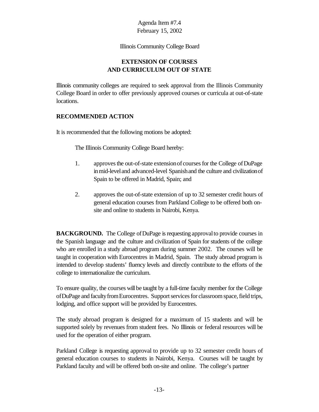#### Illinois Community College Board

#### **EXTENSION OF COURSES AND CURRICULUM OUT OF STATE**

Illinois community colleges are required to seek approval from the Illinois Community College Board in order to offer previously approved courses or curricula at out-of-state locations.

#### **RECOMMENDED ACTION**

It is recommended that the following motions be adopted:

The Illinois Community College Board hereby:

- 1. approves the out-of-state extension of courses for the College of DuPage inmid-leveland advanced-level Spanishand the culture and civilizationof Spain to be offered in Madrid, Spain; and
- 2. approves the out-of-state extension of up to 32 semester credit hours of general education courses from Parkland College to be offered both onsite and online to students in Nairobi, Kenya.

**BACKGROUND.** The College of DuPage is requesting approval to provide courses in the Spanish language and the culture and civilization of Spain for students of the college who are enrolled in a study abroad program during summer 2002. The courses will be taught in cooperation with Eurocentres in Madrid, Spain. The study abroad program is intended to develop students' fluency levels and directly contribute to the efforts of the college to internationalize the curriculum.

To ensure quality, the courses will be taught by a full-time faculty member for the College of DuPage and faculty from Eurocentres. Support services for classroom space, field trips, lodging, and office support will be provided by Eurocentres.

The study abroad program is designed for a maximum of 15 students and will be supported solely by revenues from student fees. No Illinois or federal resources will be used for the operation of either program.

Parkland College is requesting approval to provide up to 32 semester credit hours of general education courses to students in Nairobi, Kenya. Courses will be taught by Parkland faculty and will be offered both on-site and online. The college's partner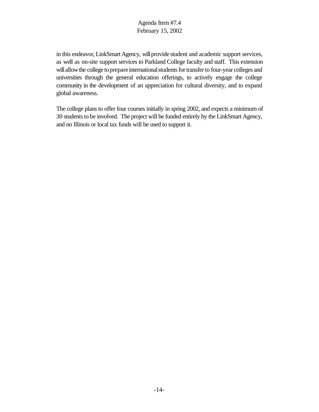in this endeavor, LinkSmart Agency, will provide student and academic support services, as well as on-site support services to Parkland College faculty and staff. This extension will allow the college to prepare international students for transfer to four-year colleges and universities through the general education offerings, to actively engage the college community in the development of an appreciation for cultural diversity, and to expand global awareness.

The college plans to offer four courses initially in spring 2002, and expects a minimum of 30 students to be involved. The project will be funded entirely by the LinkSmart Agency, and no Illinois or local tax funds will be used to support it.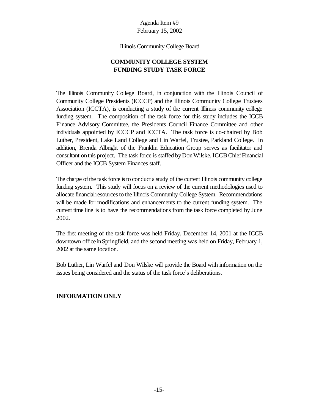#### Illinois Community College Board

# **COMMUNITY COLLEGE SYSTEM FUNDING STUDY TASK FORCE**

The Illinois Community College Board, in conjunction with the Illinois Council of Community College Presidents (ICCCP) and the Illinois Community College Trustees Association (ICCTA), is conducting a study of the current Illinois community college funding system. The composition of the task force for this study includes the ICCB Finance Advisory Committee, the Presidents Council Finance Committee and other individuals appointed by ICCCP and ICCTA. The task force is co-chaired by Bob Luther, President, Lake Land College and Lin Warfel, Trustee, Parkland College. In addition, Brenda Albright of the Franklin Education Group serves as facilitator and consultant onthis project. The task force is staffed byDonWilske,ICCBChiefFinancial Officer and the ICCB System Finances staff.

The charge of the task force is to conduct a study of the current Illinois community college funding system. This study will focus on a review of the current methodologies used to allocate financial resources to the Illinois Community College System. Recommendations will be made for modifications and enhancements to the current funding system. The current time line is to have the recommendations from the task force completed by June 2002.

The first meeting of the task force was held Friday, December 14, 2001 at the ICCB downtown office inSpringfield, and the second meeting was held on Friday, February 1, 2002 at the same location.

Bob Luther, Lin Warfel and Don Wilske will provide the Board with information on the issues being considered and the status of the task force's deliberations.

#### **INFORMATION ONLY**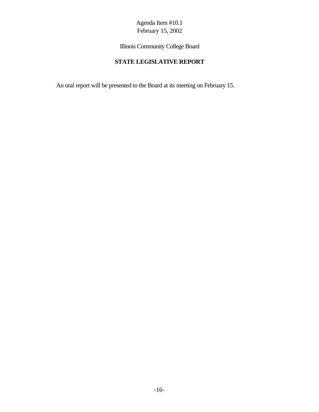Illinois Community College Board

# **STATE LEGISLATIVE REPORT**

An oral report will be presented to the Board at its meeting on February 15.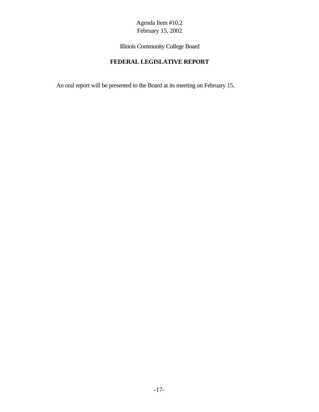Illinois Community College Board

# **FEDERAL LEGISLATIVE REPORT**

An oral report will be presented to the Board at its meeting on February 15.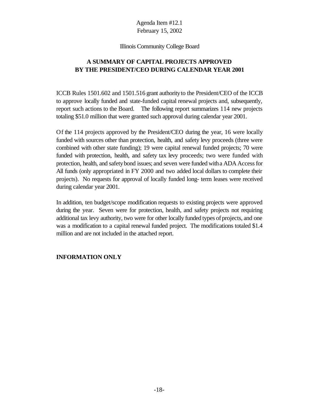#### Illinois Community College Board

# **A SUMMARY OF CAPITAL PROJECTS APPROVED BY THE PRESIDENT/CEO DURING CALENDAR YEAR 2001**

ICCB Rules 1501.602 and 1501.516 grant authorityto the President/CEO of the ICCB to approve locally funded and state-funded capital renewal projects and, subsequently, report such actions to the Board. The following report summarizes 114 new projects totaling \$51.0 million that were granted such approval during calendar year 2001.

Of the 114 projects approved by the President/CEO during the year, 16 were locally funded with sources other than protection, health, and safety levy proceeds (three were combined with other state funding); 19 were capital renewal funded projects; 70 were funded with protection, health, and safety tax levy proceeds; two were funded with protection, health, and safetybond issues; and seven were funded witha ADA Accessfor All funds (only appropriated in FY 2000 and two added local dollars to complete their projects). No requests for approval of locally funded long- term leases were received during calendar year 2001.

In addition, ten budget/scope modification requests to existing projects were approved during the year. Seven were for protection, health, and safety projects not requiring additional tax levy authority, two were for other locally funded types of projects, and one was a modification to a capital renewal funded project. The modifications totaled \$1.4 million and are not included in the attached report.

#### **INFORMATION ONLY**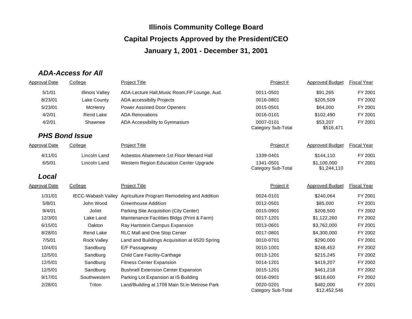# *ADA-Access for All*

| Approval Date        | College                | <b>Project Title</b>                                           | Project#                        | <b>Approved Budget</b>     | <b>Fiscal Year</b> |
|----------------------|------------------------|----------------------------------------------------------------|---------------------------------|----------------------------|--------------------|
| 5/1/01               | <b>Illinois Valley</b> | ADA-Lecture Hall, Music Room, FP Lounge, Aud.                  | 0011-0501                       | \$91,265                   | FY 2001            |
| 8/23/01              | Lake County            | ADA accessibilty Projects                                      | 0016-0801                       | \$205,509                  | FY 2002            |
| 5/23/01              | McHenry                | <b>Power Assisted Door Openers</b>                             | 0015-0501                       | \$64,000                   | FY 2001            |
| 4/2/01               | <b>Rend Lake</b>       | <b>ADA Renovations</b>                                         | 0016-0101                       | \$102,490                  | FY 2001            |
| 4/2/01               | Shawnee                | ADA Accessibility to Gymnasium                                 | 0007-0101<br>Category Sub-Total | \$53,207<br>\$516,471      | FY 2001            |
|                      | <b>PHS Bond Issue</b>  |                                                                |                                 |                            |                    |
| <b>Approval Date</b> | College                | <b>Project Title</b>                                           | Project#                        | <b>Approved Budget</b>     | <b>Fiscal Year</b> |
| 4/11/01              | Lincoln Land           | Asbestos Abatement-1st Floor Menard Hall                       | 1339-0401                       | \$144,110                  | FY 2001            |
| 6/5/01               | Lincoln Land           | Western Region Education Center Upgrade                        | 1341-0501<br>Category Sub-Total | \$1,100,000<br>\$1,244,110 | FY 2001            |
| Local                |                        |                                                                |                                 |                            |                    |
| <b>Approval Date</b> | College                | <b>Project Title</b>                                           | Project #                       | <b>Approved Budget</b>     | <b>Fiscal Year</b> |
| 1/31/01              |                        | IECC-Wabash Valley Agriculture Program Remodeling and Addition | 0024-0101                       | \$240,064                  | FY 2001            |
| 5/8/01               | John Wood              | Greenhouse Addition                                            | 0012-0501                       | \$85,000                   | FY 2001            |
| 9/4/01               | Joliet                 | Parking Site Acquisition (City Center)                         | 0015-0901                       | \$208,500                  | FY 2002            |
| 12/3/01              | Lake Land              | Maintenance Facilities Bldgs (Print & Farm)                    | 0017-1201                       | \$1,122,260                | FY 2002            |
| 6/15/01              | Oakton                 | Ray Hartstein Campus Expansion                                 | 0013-0601                       | \$3,762,000                | FY 2001            |
| 8/28/01              | <b>Rend Lake</b>       | RLC Mall and One Stop Center                                   | 0017-0801                       | \$4,300,000                | FY 2002            |
| 7/5/01               | <b>Rock Valley</b>     | Land and Buildings Acquisition at 6520 Spring                  | 0010-0701                       | \$290,000                  | FY 2001            |
| 10/4/01              | Sandburg               | E/F Passageway                                                 | 0010-1001                       | \$248,452                  | FY 2002            |
| 12/5/01              | Sandburg               | <b>Child Care Facility-Carthage</b>                            | 0013-1201                       | \$215,245                  | FY 2002            |
| 12/5/01              | Sandburg               | <b>Fitness Center Expansion</b>                                | 0014-1201                       | \$419,207                  | FY 2002            |
| 12/5/01              | Sandburg               | <b>Bushnell Extension Center Expansion</b>                     | 0015-1201                       | \$461,218                  | FY 2002            |
| 9/17/01              | Southwestern           | Parking Lot Expansion at IS Building                           | 0016-0901                       | \$618,600                  | FY 2002            |
| 2/28/01              | Triton                 | Land/Building at 1708 Main St.in Melrose Park                  | 0020-0201<br>Category Sub-Total | \$482,000<br>\$12,452,546  | FY 2001            |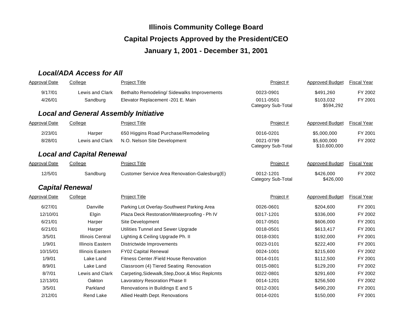# *Local/ADA Access for All*

| <b>Approval Date</b> | College                                      | <b>Project Title</b>                             | Project #                       | <b>Approved Budget</b>      | <b>Fiscal Year</b> |
|----------------------|----------------------------------------------|--------------------------------------------------|---------------------------------|-----------------------------|--------------------|
| 9/17/01              | Lewis and Clark                              | Bethalto Remodeling/ Sidewalks Improvements      | 0023-0901                       | \$491,260                   | FY 2002            |
| 4/26/01              | Sandburg                                     | Elevator Replacement -201 E. Main                | 0011-0501<br>Category Sub-Total | \$103,032<br>\$594,292      | FY 2001            |
|                      | <b>Local and General Assembly Initiative</b> |                                                  |                                 |                             |                    |
| <b>Approval Date</b> | College                                      | <b>Project Title</b>                             | Project #                       | <b>Approved Budget</b>      | <b>Fiscal Year</b> |
| 2/23/01              | Harper                                       | 650 Higgins Road Purchase/Remodeling             | 0016-0201                       | \$5,000,000                 | FY 2001            |
| 8/28/01              | Lewis and Clark                              | N.O. Nelson Site Development                     | 0021-0799<br>Category Sub-Total | \$5,600,000<br>\$10,600,000 | FY 2002            |
|                      | <b>Local and Capital Renewal</b>             |                                                  |                                 |                             |                    |
| <b>Approval Date</b> | College                                      | <b>Project Title</b>                             | Project#                        | <b>Approved Budget</b>      | <b>Fiscal Year</b> |
| 12/5/01              | Sandburg                                     | Customer Service Area Renovation-Galesburg(E)    | 0012-1201<br>Category Sub-Total | \$426,000<br>\$426,000      | FY 2002            |
|                      | <b>Capital Renewal</b>                       |                                                  |                                 |                             |                    |
| <b>Approval Date</b> | College                                      | <b>Project Title</b>                             | Project#                        | <b>Approved Budget</b>      | <b>Fiscal Year</b> |
| 6/27/01              | Danville                                     | Parking Lot Overlay-Southwest Parking Area       | 0026-0601                       | \$204,600                   | FY 2001            |
| 12/10/01             | Elgin                                        | Plaza Deck Restoration/Waterproofing - Ph IV     | 0017-1201                       | \$336,000                   | FY 2002            |
| 6/21/01              | Harper                                       | Site Development                                 | 0017-0501                       | \$606,000                   | FY 2001            |
| 6/21/01              | Harper                                       | Utilities Tunnel and Sewer Upgrade               | 0018-0501                       | \$613,417                   | FY 2001            |
| 3/5/01               | <b>Illinois Central</b>                      | Lighting & Ceiling Upgrade Ph. II                | 0018-0301                       | \$192,000                   | FY 2001            |
| 1/9/01               | Illinois Eastern                             | Districtwide Improvements                        | 0023-0101                       | \$222,400                   | FY 2001            |
| 10/15/01             | <b>Illinois Eastern</b>                      | <b>FY02 Capital Renewal</b>                      | 0024-1001                       | \$215,600                   | FY 2002            |
| 1/9/01               | Lake Land                                    | Fitness Center / Field House Renovation          | 0014-0101                       | \$112,500                   | FY 2001            |
| 8/9/01               | Lake Land                                    | Classroom (4) Tiered Seating Renovation          | 0015-0801                       | \$129,200                   | FY 2002            |
| 8/7/01               | Lewis and Clark                              | Carpeting, Sidewalk, Step, Door, & Misc Replcmts | 0022-0801                       | \$291,600                   | FY 2002            |
| 12/13/01             | Oakton                                       | Lavoratory Resoration Phase II                   | 0014-1201                       | \$256,500                   | FY 2002            |
| 3/5/01               | Parkland                                     | Renovations in Buildings E and S                 | 0012-0301                       | \$490,200                   | FY 2001            |
| 2/12/01              | <b>Rend Lake</b>                             | Allied Health Dept. Renovations                  | 0014-0201                       | \$150,000                   | FY 2001            |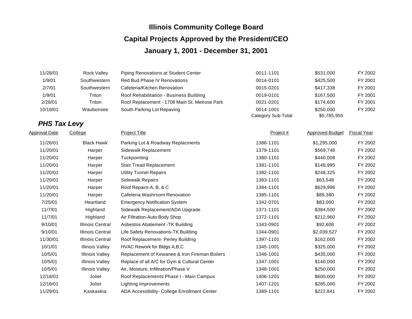| 11/28/01 | Rock Valley  | Piping Renovations at Student Center          | 0011-1101                       | \$531,000                | FY 2002 |
|----------|--------------|-----------------------------------------------|---------------------------------|--------------------------|---------|
| 1/9/01   | Southwestern | <b>Red Bud Phase IV Renovations</b>           | 0014-0101                       | \$425,500                | FY 2001 |
| 2/7/01   | Southwestern | Cafeteria/Kitchen Renovation                  | 0015-0201                       | \$417,338                | FY 2001 |
| 1/9/01   | Triton       | Roof Rehabilitation - Business Building       | 0019-0101                       | \$167.500                | FY 2001 |
| 2/28/01  | Triton       | Roof Replacement - 1708 Main St. Melrose Park | 0021-0201                       | \$174,600                | FY 2001 |
| 10/19/01 | Waubonsee    | South Parking Lot Repaving                    | 0014-1001<br>Category Sub-Total | \$250,000<br>\$5,785,955 | FY 2002 |

# *PHS Tax Levy*

| <b>Approval Date</b> | College                 | <b>Project Title</b>                          | Project # | <b>Approved Budget</b> | <b>Fiscal Year</b> |
|----------------------|-------------------------|-----------------------------------------------|-----------|------------------------|--------------------|
| 11/26/01             | <b>Black Hawk</b>       | Parking Lot & Roadway Replacments             | 1386-1101 | \$1,295,000            | FY 2002            |
| 11/20/01             | Harper                  | Sidewalk Replacement                          | 1379-1101 | \$569,748              | FY 2002            |
| 11/20/01             | Harper                  | Tuckpointing                                  | 1380-1101 | \$440,008              | FY 2002            |
| 11/20/01             | Harper                  | <b>Stair Tread Replacement</b>                | 1381-1101 | \$148,995              | FY 2002            |
| 11/20/01             | Harper                  | <b>Utility Tunnel Repairs</b>                 | 1382-1101 | \$248,325              | FY 2002            |
| 11/20/01             | Harper                  | <b>Sidewalk Repairs</b>                       | 1383-1101 | \$63,548               | FY 2002            |
| 11/20/01             | Harper                  | Roof Repairs-A, B, & C                        | 1384-1101 | \$629,996              | FY 2002            |
| 11/20/01             | Harper                  | Cafeteria Washroom Renovation                 | 1385-1101 | \$89,380               | FY 2002            |
| 7/25/01              | Heartland               | <b>Emergency Notification System</b>          | 1342-0701 | \$83,000               | FY 2002            |
| 11/7/01              | Highland                | Sidewalk Replacement/ADA Upgrade              | 1371-1101 | \$384,500              | FY 2002            |
| 11/7/01              | Highland                | Air Filtration-Auto Body Shop                 | 1372-1101 | \$212,960              | FY 2002            |
| 9/10/01              | <b>Illinois Central</b> | Asbestos Abatement - TK Building              | 1343-0901 | \$92,608               | FY 2002            |
| 9/10/01              | <b>Illinois Central</b> | Life Safety Renovations-TK Building           | 1344-0901 | \$2,039,527            | FY 2002            |
| 11/30/01             | <b>Illinois Central</b> | Roof Replacement- Perley Building             | 1397-1101 | \$162,000              | FY 2002            |
| 10/1/01              | <b>Illinois Valley</b>  | HVAC Rework for Bldgs A, B, C                 | 1345-1001 | \$325,000              | FY 2002            |
| 10/5/01              | <b>Illinois Valley</b>  | Replacement of Kewanee & Iron Fireman Boilers | 1346-1001 | \$435,000              | FY 2002            |
| 10/5/01              | <b>Illinois Valley</b>  | Replace of all A/C for Gym & Cultural Center  | 1347-1001 | \$140,000              | FY 2002            |
| 10/5/01              | <b>Illinois Valley</b>  | Air, Moisture, Infiltration/Phase V           | 1348-1001 | \$250,000              | FY 2002            |
| 12/18/01             | Joliet                  | Roof Replacements Phase I - Main Campus       | 1406-1201 | \$600,000              | FY 2002            |
| 12/18/01             | Joliet                  | <b>Lighting Improvements</b>                  | 1407-1201 | \$285,000              | FY 2002            |
| 11/29/01             | Kaskaskia               | ADA Accessibility- College Enrollment Center  | 1389-1101 | \$222,841              | FY 2002            |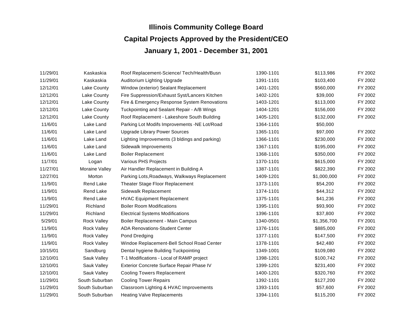| 11/29/01 | Kaskaskia          | Roof Replacement-Science/ Tech/Health/Busn    | 1390-1101 | \$113,986   | FY 2002 |
|----------|--------------------|-----------------------------------------------|-----------|-------------|---------|
| 11/29/01 | Kaskaskia          | Auditorium Lighting Upgrade                   | 1391-1101 | \$103,400   | FY 2002 |
| 12/12/01 | Lake County        | Window (exterior) Sealant Replacement         | 1401-1201 | \$560,000   | FY 2002 |
| 12/12/01 | Lake County        | Fire Suppression/Exhaust Syst/Lancers Kitchen | 1402-1201 | \$39,000    | FY 2002 |
| 12/12/01 | Lake County        | Fire & Emergency Response System Renovations  | 1403-1201 | \$113,000   | FY 2002 |
| 12/12/01 | Lake County        | Tuckpointing and Sealant Repair - A/B Wings   | 1404-1201 | \$156,000   | FY 2002 |
| 12/12/01 | Lake County        | Roof Replacement - Lakeshore South Building   | 1405-1201 | \$132,000   | FY 2002 |
| 11/6/01  | Lake Land          | Parking Lot Modifs Improvements -NE Lot/Road  | 1364-1101 | \$50,000    |         |
| 11/6/01  | Lake Land          | <b>Upgrade Library Power Sources</b>          | 1365-1101 | \$97,000    | FY 2002 |
| 11/6/01  | Lake Land          | Lighting Improvements (3 bldings and parking) | 1366-1101 | \$230,000   | FY 2002 |
| 11/6/01  | Lake Land          | Sidewalk Improvements                         | 1367-1101 | \$195,000   | FY 2002 |
| 11/6/01  | Lake Land          | <b>Boiler Replacement</b>                     | 1368-1101 | \$350,000   | FY 2002 |
| 11/7/01  | Logan              | Various PHS Projects                          | 1370-1101 | \$615,000   | FY 2002 |
| 11/27/01 | Moraine Valley     | Air Handler Replacement in Building A         | 1387-1101 | \$822,390   | FY 2002 |
| 12/27/01 | Morton             | Parking Lots, Roadways, Walkways Replacement  | 1409-1201 | \$1,000,000 | FY 2002 |
| 11/9/01  | <b>Rend Lake</b>   | <b>Theater Stage Floor Replacement</b>        | 1373-1101 | \$54,200    | FY 2002 |
| 11/9/01  | <b>Rend Lake</b>   | Sidewalk Replacement                          | 1374-1101 | \$44,312    | FY 2002 |
| 11/9/01  | <b>Rend Lake</b>   | <b>HVAC Equipment Replacement</b>             | 1375-1101 | \$41,236    | FY 2002 |
| 11/29/01 | Richland           | <b>Boiler Room Modifications</b>              | 1395-1101 | \$93,900    | FY 2002 |
| 11/29/01 | Richland           | <b>Electrical Systems Modifications</b>       | 1396-1101 | \$37,800    | FY 2002 |
| 5/29/01  | <b>Rock Valley</b> | Boiler Replacement - Main Campus              | 1340-0501 | \$1,356,700 | FY 2001 |
| 11/9/01  | <b>Rock Valley</b> | <b>ADA Renovations-Student Center</b>         | 1376-1101 | \$885,000   | FY 2002 |
| 11/9/01  | Rock Valley        | Pond Dredging                                 | 1377-1101 | \$147,500   | FY 2002 |
| 11/9/01  | <b>Rock Valley</b> | Windoe Replacement-Bell School Road Center    | 1378-1101 | \$42,480    | FY 2002 |
| 10/15/01 | Sandburg           | Dental hygiene Building Tuckpointing          | 1349-1001 | \$109,080   | FY 2002 |
| 12/10/01 | Sauk Valley        | T-1 Modifications - Local of RAMP project     | 1398-1201 | \$100,742   | FY 2002 |
| 12/10/01 | Sauk Valley        | Exterior Concrete Surface Repair Phase IV     | 1399-1201 | \$231,400   | FY 2002 |
| 12/10/01 | Sauk Valley        | <b>Cooling Towers Replacement</b>             | 1400-1201 | \$320,760   | FY 2002 |
| 11/29/01 | South Suburban     | <b>Cooling Tower Repairs</b>                  | 1392-1101 | \$127,200   | FY 2002 |
| 11/29/01 | South Suburban     | Classroom Lighting & HVAC Improvements        | 1393-1101 | \$57,600    | FY 2002 |
| 11/29/01 | South Suburban     | <b>Heating Valve Replacements</b>             | 1394-1101 | \$115,200   | FY 2002 |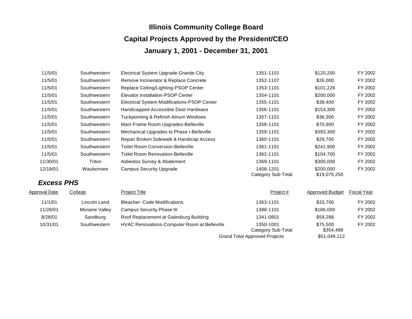| 11/5/01  | Southwestern | Electrical System Upgrade-Granite City      | 1351-1101                       | \$120,200                 | FY 2002 |
|----------|--------------|---------------------------------------------|---------------------------------|---------------------------|---------|
| 11/5/01  | Southwestern | Remove Incinerator & Replace Concrete       | 1352-1107                       | \$26,000                  | FY 2002 |
| 11/5/01  | Southwestern | Replace Ceiling/Lighting-PSOP Center        | 1353-1101                       | \$101.228                 | FY 2002 |
| 11/5/01  | Southwestern | Elevator Installation-PSOP Center           | 1354-1101                       | \$200,000                 | FY 2002 |
| 11/5/01  | Southwestern | Electrical System Modifications-PSOP Center | 1355-1101                       | \$38,400                  | FY 2002 |
| 11/5/01  | Southwestern | Handicapped Accessible Door Hardware        | 1356-1101                       | \$153,300                 | FY 2002 |
| 11/5/01  | Southwestern | Tuckpointing & Refinsh Atrium Windows       | 1357-1101                       | \$36,300                  | FY 2002 |
| 11/5/01  | Southwestern | Main Frame Room Upgrades-Belleville         | 1358-1101                       | \$70,900                  | FY 2002 |
| 11/5/01  | Southwestern | Mechanical Upgrades to Phase I-Belleville   | 1359-1101                       | \$393,300                 | FY 2002 |
| 11/5/01  | Southwestern | Repair Broken Sidewalk & Handicap Access    | 1360-1101                       | \$29,700                  | FY 2002 |
| 11/5/01  | Southwestern | <b>Toilet Room Conversion-Belleville</b>    | 1361-1101                       | \$241,900                 | FY 2002 |
| 11/5/01  | Southwestern | <b>Toilet Room Renovation-Belleville</b>    | 1362-1101                       | \$104,700                 | FY 2002 |
| 11/30/01 | Triton       | Asbestos Survey & Abatement                 | 1369-1101                       | \$300,000                 | FY 2002 |
| 12/18/01 | Waubonsee    | <b>Campus Security Upgrade</b>              | 1408-1201<br>Category Sub-Total | \$200,000<br>\$19,075,250 | FY 2002 |

# *Excess PHS*

| Approval Date | College        | <b>Project Title</b>                                | Project#                             | <b>Approved Budget</b> | <b>Fiscal Year</b> |
|---------------|----------------|-----------------------------------------------------|--------------------------------------|------------------------|--------------------|
| 11/1/01       | Lincoln Land   | <b>Bleacher- Code Modifications</b>                 | 1363-1101                            | \$33,700               | FY 2002            |
| 11/28/01      | Moraine Valley | <b>Campus Security Phase III</b>                    | 1388-1101                            | \$186,000              | FY 2002            |
| 8/28/01       | Sandburg       | Roof Replacement at Galesburg Building              | 1341-0801                            | \$59,288               | FY 2002            |
| 10/31/01      | Southwestern   | <b>HVAC Renovations-Computer Room at Belleville</b> | 1350-1001<br>Category Sub-Total      | \$75.500<br>\$354,488  | FY 2002            |
|               |                |                                                     | <b>Grand Total Approved Projects</b> | \$51,049,112           |                    |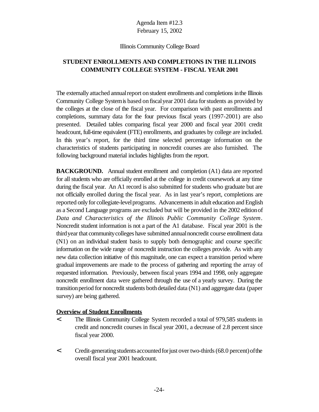#### Illinois Community College Board

#### **STUDENT ENROLLMENTS AND COMPLETIONS IN THE ILLINOIS COMMUNITY COLLEGE SYSTEM - FISCAL YEAR 2001**

The externally attached annual report on student enrollments and completions in the Illinois Community College Systemis based onfiscalyear 2001 data forstudents as provided by the colleges at the close of the fiscal year. For comparison with past enrollments and completions, summary data for the four previous fiscal years (1997-2001) are also presented. Detailed tables comparing fiscal year 2000 and fiscal year 2001 credit headcount, full-time equivalent (FTE) enrollments, and graduates by college are included. In this year's report, for the third time selected percentage information on the characteristics of students participating in noncredit courses are also furnished. The following background material includes highlights from the report.

**BACKGROUND.** Annual student enrollment and completion (A1) data are reported for all students who are officially enrolled at the college in credit coursework at any time during the fiscal year. An A1 record is also submitted for students who graduate but are not officially enrolled during the fiscal year. As in last year's report, completions are reported only for collegiate-level programs. Advancements in adult education and English as a Second Language programs are excluded but will be provided in the 2002 editionof *Data and Characteristics of the Illinois Public Community College System*. Noncredit student information is not a part of the A1 database. Fiscal year 2001 is the third year that community colleges have submitted annual noncredit course enrollment data (N1) on an individual student basis to supply both demographic and course specific information on the wide range of noncredit instruction the colleges provide. As with any new data collection initiative of this magnitude, one can expect a transition period where gradual improvements are made to the process of gathering and reporting the array of requested information. Previously, between fiscal years 1994 and 1998, only aggregate noncredit enrollment data were gathered through the use of a yearly survey. During the transitionperiod for noncredit students bothdetailed data (N1) and aggregate data (paper survey) are being gathered.

#### **Overview of Student Enrollments**

- < The Illinois Community College System recorded a total of 979,585 students in credit and noncredit courses in fiscal year 2001, a decrease of 2.8 percent since fiscal year 2000.
- < Credit-generatingstudentsaccountedforjust overtwo-thirds(68.0 percent)ofthe overall fiscal year 2001 headcount.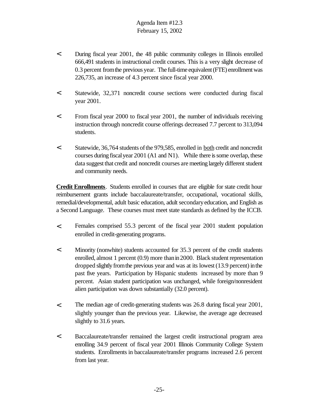- < During fiscal year 2001, the 48 public community colleges in Illinois enrolled 666,491 students in instructional credit courses. This is a very slight decrease of 0.3 percent fromthe previous year. The full-time equivalent (FTE) enrollment was 226,735, an increase of 4.3 percent since fiscal year 2000.
- < Statewide, 32,371 noncredit course sections were conducted during fiscal year 2001.
- < From fiscal year 2000 to fiscal year 2001, the number of individuals receiving instruction through noncredit course offerings decreased 7.7 percent to 313,094 students.
- < Statewide, 36,764 students ofthe 979,585, enrolled in both credit and noncredit courses during fiscal year 2001 (A1 and N1). While there is some overlap, these data suggest that credit and noncredit courses are meeting largely different student and community needs.

**Credit Enrollments**. Students enrolled in courses that are eligible for state credit hour reimbursement grants include baccalaureate/transfer, occupational, vocational skills, remedial/developmental, adult basic education, adult secondaryeducation, and English as a Second Language. These courses must meet state standards as defined by the ICCB.

- < Females comprised 55.3 percent of the fiscal year 2001 student population enrolled in credit-generating programs.
- < Minority (nonwhite) students accounted for 35.3 percent of the credit students enrolled, almost 1 percent (0.9) more thanin2000. Black student representation dropped slightly from the previous year and was at its lowest (13.9 percent) in the past five years. Participation by Hispanic students increased by more than 9 percent. Asian student participation was unchanged, while foreign/nonresident alien participation was down substantially (32.0 percent).
- < The median age of credit-generating students was 26.8 during fiscal year 2001, slightly younger than the previous year. Likewise, the average age decreased slightly to 31.6 years.
- < Baccalaureate/transfer remained the largest credit instructional program area enrolling 34.9 percent of fiscal year 2001 Illinois Community College System students. Enrollments in baccalaureate/transfer programs increased 2.6 percent from last year.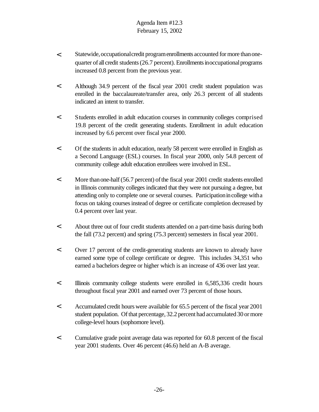- < Statewide,occupationalcredit programenrollments accounted formore thanonequarter of all credit students (26.7 percent). Enrollments inoccupational programs increased 0.8 percent from the previous year.
- < Although 34.9 percent of the fiscal year 2001 credit student population was enrolled in the baccalaureate/transfer area, only 26.3 percent of all students indicated an intent to transfer.
- < Students enrolled in adult education courses in community colleges comprised 19.8 percent of the credit generating students. Enrollment in adult education increased by 6.6 percent over fiscal year 2000.
- < Of the students in adult education, nearly 58 percent were enrolled in English as a Second Language (ESL) courses. In fiscal year 2000, only 54.8 percent of community college adult education enrollees were involved in ESL.
- < More thanone-half(56.7 percent) ofthe fiscal year 2001 credit students enrolled in Illinois community colleges indicated that they were not pursuing a degree, but attending only to complete one or several courses. Participationincollege witha focus on taking coursesinstead of degree or certificate completion decreased by 0.4 percent over last year.
- < About three out of four credit students attended on a part-time basis during both the fall (73.2 percent) and spring (75.3 percent) semesters in fiscal year 2001.
- < Over 17 percent of the credit-generating students are known to already have earned some type of college certificate or degree. This includes 34,351 who earned a bachelors degree or higher which is an increase of 436 over last year.
- < Illinois community college students were enrolled in 6,585,336 credit hours throughout fiscal year 2001 and earned over 73 percent of those hours.
- < Accumulated credit hours were available for 65.5 percent of the fiscal year 2001 student population. Of that percentage, 32.2 percent had accumulated 30 or more college-level hours (sophomore level).
- < Cumulative grade point average data was reported for 60.8 percent of the fiscal year 2001 students. Over 46 percent (46.6) held an A-B average.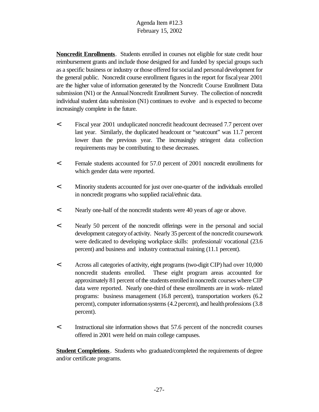**Noncredit Enrollments**. Students enrolled in courses not eligible for state credit hour reimbursement grants and include those designed for and funded by special groups such as a specific business or industry orthose offered forsocialand personaldevelopment for the general public. Noncredit course enrollment figures in the report for fiscalyear 2001 are the higher value of information generated by the Noncredit Course Enrollment Data submission (N1) or the Annual Noncredit Enrollment Survey. The collection of noncredit individual student data submission (N1) continues to evolve and is expected to become increasingly complete in the future.

- < Fiscal year 2001 unduplicated noncredit headcount decreased 7.7 percent over last year. Similarly, the duplicated headcount or "seatcount" was 11.7 percent lower than the previous year. The increasingly stringent data collection requirements may be contributing to these decreases.
- < Female students accounted for 57.0 percent of 2001 noncredit enrollments for which gender data were reported.
- < Minority students accounted for just over one-quarter of the individuals enrolled in noncredit programs who supplied racial/ethnic data.
- < Nearly one-half of the noncredit students were 40 years of age or above.
- < Nearly 50 percent of the noncredit offerings were in the personal and social development category of activity. Nearly 35 percent of the noncredit coursework were dedicated to developing workplace skills: professional/ vocational (23.6 percent) and business and industry contractual training (11.1 percent).
- < Across all categories ofactivity, eight programs (two-digit CIP) had over 10,000 noncredit students enrolled. These eight program areas accounted for approximately 81 percent of the students enrolled in noncredit courses where CIP data were reported. Nearly one-third of these enrollments are in work- related programs: business management (16.8 percent), transportation workers (6.2 percent), computer information systems (4.2 percent), and health professions (3.8 percent).
- < Instructional site information shows that 57.6 percent of the noncredit courses offered in 2001 were held on main college campuses.

**Student Completions**. Students who graduated/completed the requirements of degree and/or certificate programs.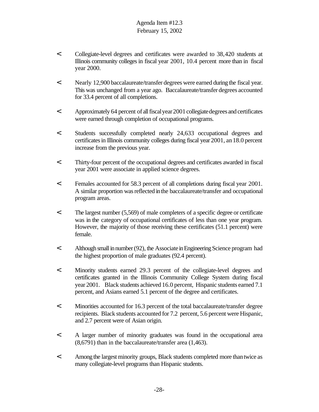- < Collegiate-level degrees and certificates were awarded to 38,420 students at Illinois community colleges in fiscal year 2001, 10.4 percent more than in fiscal year 2000.
- < Nearly 12,900 baccalaureate/transfer degrees were earned during the fiscal year. This was unchanged from a year ago. Baccalaureate/transfer degrees accounted for 33.4 percent of all completions.
- < Approximately 64 percent of allfiscalyear2001collegiatedegreesand certificates were earned through completion of occupational programs.
- < Students successfully completed nearly 24,633 occupational degrees and certificates in Illinois community colleges during fiscal year 2001, an 18.0 percent increase from the previous year.
- < Thirty-four percent of the occupational degrees and certificates awarded in fiscal year 2001 were associate in applied science degrees.
- < Females accounted for 58.3 percent of all completions during fiscal year 2001. A similar proportion was reflected in the baccalaureate/transfer and occupational program areas.
- < The largest number (5,569) of male completers of a specific degree or certificate was in the category of occupational certificates of less than one year program. However, the majority of those receiving these certificates (51.1 percent) were female.
- < Although small in number (92), the Associate in Engineering Science program had the highest proportion of male graduates (92.4 percent).
- < Minority students earned 29.3 percent of the collegiate-level degrees and certificates granted in the Illinois Community College System during fiscal year 2001. Black students achieved 16.0 percent, Hispanic students earned 7.1 percent, and Asians earned 5.1 percent of the degree and certificates.
- < Minorities accounted for 16.3 percent of the total baccalaureate/transfer degree recipients. Black students accounted for 7.2 percent, 5.6 percent were Hispanic, and 2.7 percent were of Asian origin.
- < A larger number of minority graduates was found in the occupational area (8,6791) than in the baccalaureate/transfer area (1,463).
- < Among the largestminority groups, Black students completed more thantwice as many collegiate-level programs than Hispanic students.